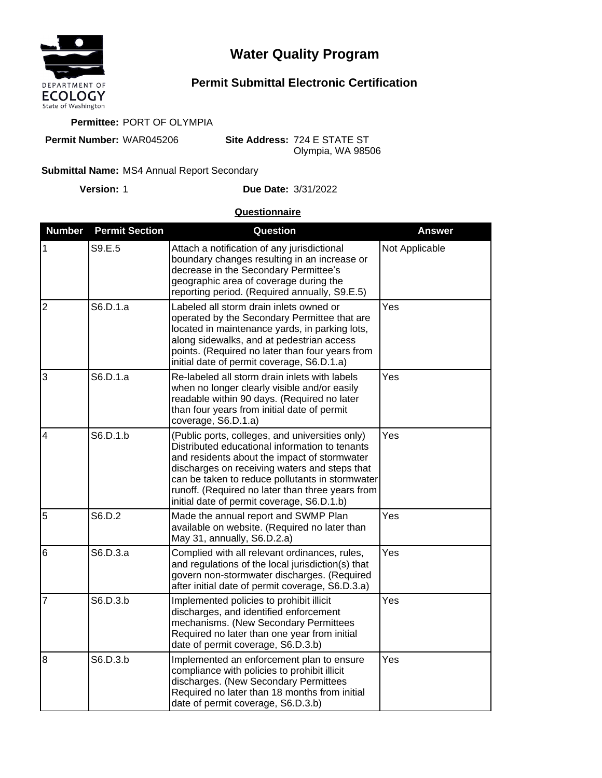

## **Water Quality Program**

## **Permit Submittal Electronic Certification**

**Permittee:** PORT OF OLYMPIA

**Permit Number:** WAR045206

**Site Address:** 724 E STATE ST Olympia, WA 98506

## Submittal Name: MS4 Annual Report Secondary

**Version:**

1 **Due Date:** 3/31/2022

## **Questionnaire**

| <b>Number</b>  | <b>Permit Section</b> | Question                                                                                                                                                                                                                                                                                                                                                | <b>Answer</b>  |
|----------------|-----------------------|---------------------------------------------------------------------------------------------------------------------------------------------------------------------------------------------------------------------------------------------------------------------------------------------------------------------------------------------------------|----------------|
| 1              | S9.E.5                | Attach a notification of any jurisdictional<br>boundary changes resulting in an increase or<br>decrease in the Secondary Permittee's<br>geographic area of coverage during the<br>reporting period. (Required annually, S9.E.5)                                                                                                                         | Not Applicable |
| $\overline{2}$ | S6.D.1.a              | Labeled all storm drain inlets owned or<br>operated by the Secondary Permittee that are<br>located in maintenance yards, in parking lots,<br>along sidewalks, and at pedestrian access<br>points. (Required no later than four years from<br>initial date of permit coverage, S6.D.1.a)                                                                 | Yes            |
| 3              | S6.D.1.a              | Re-labeled all storm drain inlets with labels<br>when no longer clearly visible and/or easily<br>readable within 90 days. (Required no later<br>than four years from initial date of permit<br>coverage, S6.D.1.a)                                                                                                                                      | Yes            |
| $\overline{4}$ | S6.D.1.b              | (Public ports, colleges, and universities only)<br>Distributed educational information to tenants<br>and residents about the impact of stormwater<br>discharges on receiving waters and steps that<br>can be taken to reduce pollutants in stormwater<br>runoff. (Required no later than three years from<br>initial date of permit coverage, S6.D.1.b) | Yes            |
| 5              | S6.D.2                | Made the annual report and SWMP Plan<br>available on website. (Required no later than<br>May 31, annually, S6.D.2.a)                                                                                                                                                                                                                                    | Yes            |
| 6              | S6.D.3.a              | Complied with all relevant ordinances, rules,<br>and regulations of the local jurisdiction(s) that<br>govern non-stormwater discharges. (Required<br>after initial date of permit coverage, S6.D.3.a)                                                                                                                                                   | Yes            |
| 7              | S6.D.3.b              | Implemented policies to prohibit illicit<br>discharges, and identified enforcement<br>mechanisms. (New Secondary Permittees<br>Required no later than one year from initial<br>date of permit coverage, S6.D.3.b)                                                                                                                                       | Yes            |
| $\overline{8}$ | S6.D.3.b              | Implemented an enforcement plan to ensure<br>compliance with policies to prohibit illicit<br>discharges. (New Secondary Permittees<br>Required no later than 18 months from initial<br>date of permit coverage, S6.D.3.b)                                                                                                                               | Yes            |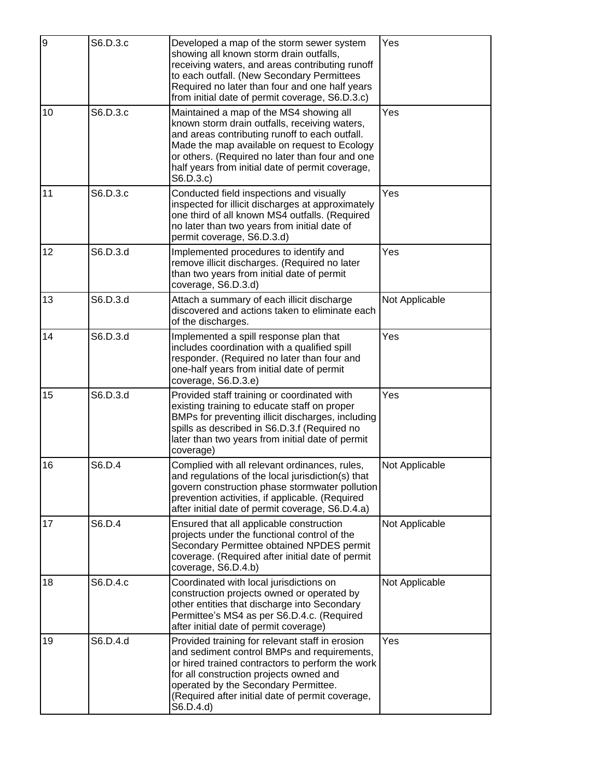| 9  | S6.D.3.c | Developed a map of the storm sewer system<br>showing all known storm drain outfalls,<br>receiving waters, and areas contributing runoff<br>to each outfall. (New Secondary Permittees<br>Required no later than four and one half years<br>from initial date of permit coverage, S6.D.3.c)                     | Yes            |
|----|----------|----------------------------------------------------------------------------------------------------------------------------------------------------------------------------------------------------------------------------------------------------------------------------------------------------------------|----------------|
| 10 | S6.D.3.c | Maintained a map of the MS4 showing all<br>known storm drain outfalls, receiving waters,<br>and areas contributing runoff to each outfall.<br>Made the map available on request to Ecology<br>or others. (Required no later than four and one<br>half years from initial date of permit coverage,<br>S6.D.3.c) | Yes            |
| 11 | S6.D.3.c | Conducted field inspections and visually<br>inspected for illicit discharges at approximately<br>one third of all known MS4 outfalls. (Required<br>no later than two years from initial date of<br>permit coverage, S6.D.3.d)                                                                                  | Yes            |
| 12 | S6.D.3.d | Implemented procedures to identify and<br>remove illicit discharges. (Required no later<br>than two years from initial date of permit<br>coverage, S6.D.3.d)                                                                                                                                                   | Yes            |
| 13 | S6.D.3.d | Attach a summary of each illicit discharge<br>discovered and actions taken to eliminate each<br>of the discharges.                                                                                                                                                                                             | Not Applicable |
| 14 | S6.D.3.d | Implemented a spill response plan that<br>includes coordination with a qualified spill<br>responder. (Required no later than four and<br>one-half years from initial date of permit<br>coverage, S6.D.3.e)                                                                                                     | Yes            |
| 15 | S6.D.3.d | Provided staff training or coordinated with<br>existing training to educate staff on proper<br>BMPs for preventing illicit discharges, including<br>spills as described in S6.D.3.f (Required no<br>later than two years from initial date of permit<br>coverage)                                              | Yes            |
| 16 | S6.D.4   | Complied with all relevant ordinances, rules,<br>and regulations of the local jurisdiction(s) that<br>govern construction phase stormwater pollution<br>prevention activities, if applicable. (Required<br>after initial date of permit coverage, S6.D.4.a)                                                    | Not Applicable |
| 17 | S6.D.4   | Ensured that all applicable construction<br>projects under the functional control of the<br>Secondary Permittee obtained NPDES permit<br>coverage. (Required after initial date of permit<br>coverage, S6.D.4.b)                                                                                               | Not Applicable |
| 18 | S6.D.4.c | Coordinated with local jurisdictions on<br>construction projects owned or operated by<br>other entities that discharge into Secondary<br>Permittee's MS4 as per S6.D.4.c. (Required<br>after initial date of permit coverage)                                                                                  | Not Applicable |
| 19 | S6.D.4.d | Provided training for relevant staff in erosion<br>and sediment control BMPs and requirements,<br>or hired trained contractors to perform the work<br>for all construction projects owned and<br>operated by the Secondary Permittee.<br>(Required after initial date of permit coverage,<br>S6.D.4.d)         | Yes            |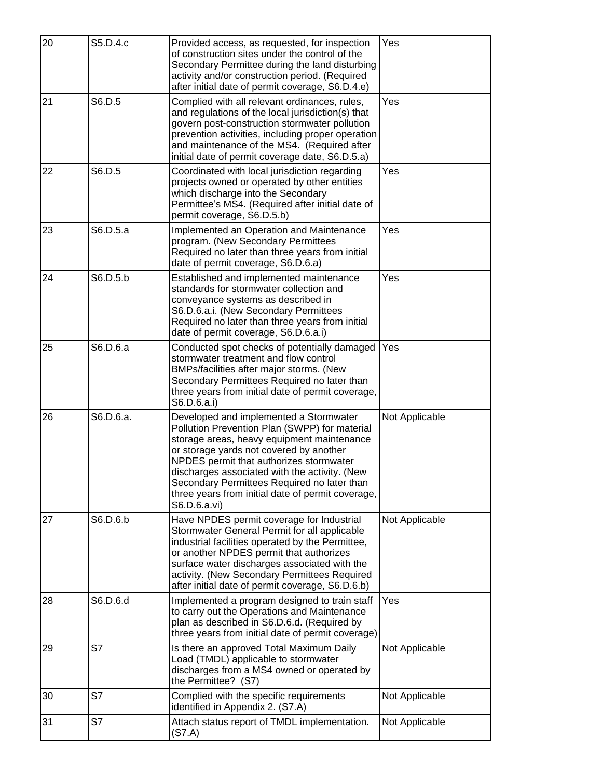| 20 | S5.D.4.c  | Provided access, as requested, for inspection<br>of construction sites under the control of the<br>Secondary Permittee during the land disturbing<br>activity and/or construction period. (Required<br>after initial date of permit coverage, S6.D.4.e)                                                                                                                                          | Yes            |
|----|-----------|--------------------------------------------------------------------------------------------------------------------------------------------------------------------------------------------------------------------------------------------------------------------------------------------------------------------------------------------------------------------------------------------------|----------------|
| 21 | S6.D.5    | Complied with all relevant ordinances, rules,<br>and regulations of the local jurisdiction(s) that<br>govern post-construction stormwater pollution<br>prevention activities, including proper operation<br>and maintenance of the MS4. (Required after<br>initial date of permit coverage date, S6.D.5.a)                                                                                       | Yes            |
| 22 | S6.D.5    | Coordinated with local jurisdiction regarding<br>projects owned or operated by other entities<br>which discharge into the Secondary<br>Permittee's MS4. (Required after initial date of<br>permit coverage, S6.D.5.b)                                                                                                                                                                            | Yes            |
| 23 | S6.D.5.a  | Implemented an Operation and Maintenance<br>program. (New Secondary Permittees<br>Required no later than three years from initial<br>date of permit coverage, S6.D.6.a)                                                                                                                                                                                                                          | Yes            |
| 24 | S6.D.5.b  | Established and implemented maintenance<br>standards for stormwater collection and<br>conveyance systems as described in<br>S6.D.6.a.i. (New Secondary Permittees<br>Required no later than three years from initial<br>date of permit coverage, S6.D.6.a.i)                                                                                                                                     | Yes            |
| 25 | S6.D.6.a  | Conducted spot checks of potentially damaged<br>stormwater treatment and flow control<br>BMPs/facilities after major storms. (New<br>Secondary Permittees Required no later than<br>three years from initial date of permit coverage,<br>S6.D.6.a.i)                                                                                                                                             | Yes            |
| 26 | S6.D.6.a. | Developed and implemented a Stormwater<br>Pollution Prevention Plan (SWPP) for material<br>storage areas, heavy equipment maintenance<br>or storage yards not covered by another<br>NPDES permit that authorizes stormwater<br>discharges associated with the activity. (New<br>Secondary Permittees Required no later than<br>three years from initial date of permit coverage,<br>S6.D.6.a.vi) | Not Applicable |
| 27 | S6.D.6.b  | Have NPDES permit coverage for Industrial<br>Stormwater General Permit for all applicable<br>industrial facilities operated by the Permittee,<br>or another NPDES permit that authorizes<br>surface water discharges associated with the<br>activity. (New Secondary Permittees Required<br>after initial date of permit coverage, S6.D.6.b)                                                     | Not Applicable |
| 28 | S6.D.6.d  | Implemented a program designed to train staff<br>to carry out the Operations and Maintenance<br>plan as described in S6.D.6.d. (Required by<br>three years from initial date of permit coverage)                                                                                                                                                                                                 | Yes            |
| 29 | S7        | Is there an approved Total Maximum Daily<br>Load (TMDL) applicable to stormwater<br>discharges from a MS4 owned or operated by<br>the Permittee? (S7)                                                                                                                                                                                                                                            | Not Applicable |
| 30 | S7        | Complied with the specific requirements<br>identified in Appendix 2. (S7.A)                                                                                                                                                                                                                                                                                                                      | Not Applicable |
| 31 | S7        | Attach status report of TMDL implementation.<br>(S7.A)                                                                                                                                                                                                                                                                                                                                           | Not Applicable |